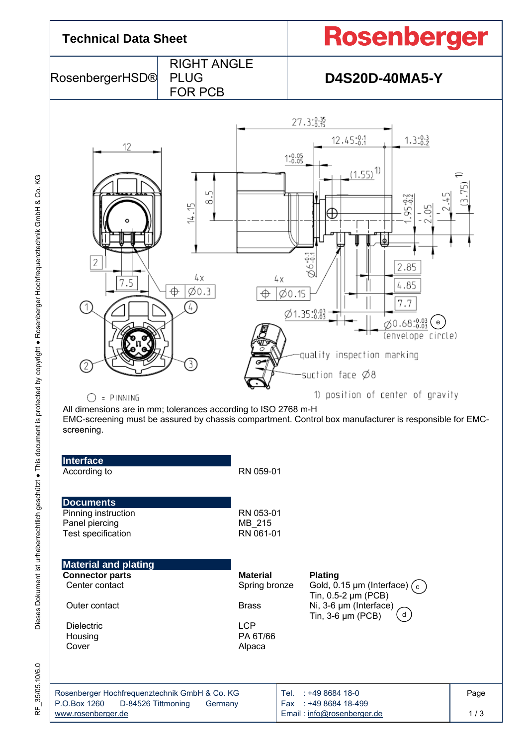

RF\_35/05.10/6.0

35/05.10/6.0

눈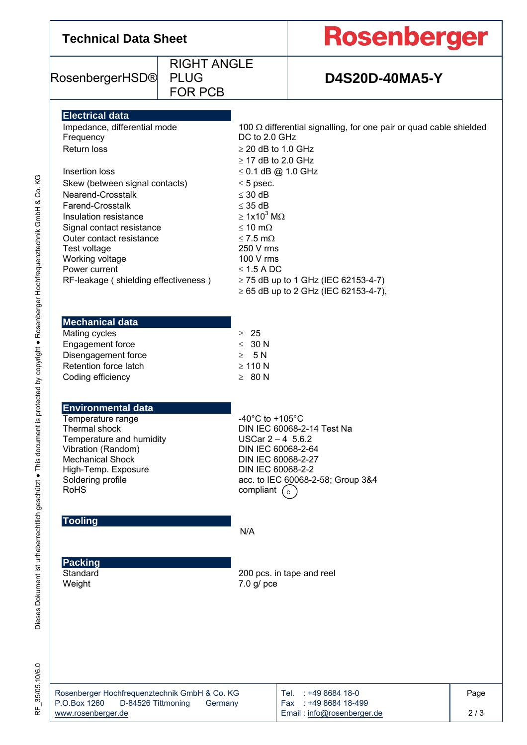| <b>Technical Data Sheet</b>                                                                                                                                                                                                                                                                                                                                   |                                                     |                                                                                                                                                                                                                                                                            | <b>Rosenberger</b>                                                                                                                                                |      |  |  |
|---------------------------------------------------------------------------------------------------------------------------------------------------------------------------------------------------------------------------------------------------------------------------------------------------------------------------------------------------------------|-----------------------------------------------------|----------------------------------------------------------------------------------------------------------------------------------------------------------------------------------------------------------------------------------------------------------------------------|-------------------------------------------------------------------------------------------------------------------------------------------------------------------|------|--|--|
| RosenbergerHSD®                                                                                                                                                                                                                                                                                                                                               | <b>RIGHT ANGLE</b><br><b>PLUG</b><br><b>FOR PCB</b> |                                                                                                                                                                                                                                                                            | <b>D4S20D-40MA5-Y</b>                                                                                                                                             |      |  |  |
| <b>Electrical data</b><br>Impedance, differential mode<br>Frequency<br>Return loss<br>Insertion loss<br>Skew (between signal contacts)<br>Nearend-Crosstalk<br>Farend-Crosstalk<br>Insulation resistance<br>Signal contact resistance<br>Outer contact resistance<br>Test voltage<br>Working voltage<br>Power current<br>RF-leakage (shielding effectiveness) |                                                     | DC to 2.0 GHz<br>$\geq$ 20 dB to 1.0 GHz<br>$\geq$ 17 dB to 2.0 GHz<br>$\leq$ 0.1 dB @ 1.0 GHz<br>$\leq$ 5 psec.<br>$\leq$ 30 dB<br>$\leq$ 35 dB<br>$\geq 1x10^3$ M $\Omega$<br>$\leq 10$ m $\Omega$<br>$\leq$ 7.5 m $\Omega$<br>250 V rms<br>100 V rms<br>$\leq$ 1.5 A DC | 100 $\Omega$ differential signalling, for one pair or quad cable shielded<br>$\ge$ 75 dB up to 1 GHz (IEC 62153-4-7)<br>$\geq$ 65 dB up to 2 GHz (IEC 62153-4-7), |      |  |  |
| <b>Mechanical data</b><br>Mating cycles<br>Engagement force<br>Disengagement force<br>Retention force latch<br>Coding efficiency                                                                                                                                                                                                                              |                                                     | $\geq 25$<br>$\leq 30 N$<br>$\geq$ 5 N<br>$\geq 110$ N<br>$\geq 80 N$                                                                                                                                                                                                      |                                                                                                                                                                   |      |  |  |
| Environmental data<br>Temperature range<br>Thermal shock<br>Temperature and humidity<br>Vibration (Random)<br><b>Mechanical Shock</b><br>High-Temp. Exposure<br>Soldering profile<br><b>RoHS</b>                                                                                                                                                              |                                                     | -40°C to +105°C<br>DIN IEC 60068-2-14 Test Na<br>USCar $2 - 4$ 5.6.2<br>DIN IEC 60068-2-64<br>DIN IEC 60068-2-27<br>DIN IEC 60068-2-2<br>acc. to IEC 60068-2-58; Group 3&4<br>compliant $(c)$                                                                              |                                                                                                                                                                   |      |  |  |
| <b>Tooling</b>                                                                                                                                                                                                                                                                                                                                                |                                                     | N/A                                                                                                                                                                                                                                                                        |                                                                                                                                                                   |      |  |  |
| <b>Packing</b><br>Standard<br>Weight                                                                                                                                                                                                                                                                                                                          |                                                     | $7.0$ g/ pce                                                                                                                                                                                                                                                               | 200 pcs. in tape and reel                                                                                                                                         |      |  |  |
| Rosenberger Hochfrequenztechnik GmbH & Co. KG<br>P.O.Box 1260<br>D-84526 Tittmoning                                                                                                                                                                                                                                                                           | Germany                                             |                                                                                                                                                                                                                                                                            | Tel. : +49 8684 18-0<br>Fax: +49 8684 18-499                                                                                                                      | Page |  |  |

RF\_35/05.10/6.0 RF\_35/05.10/6.0

www.rosenberger.de

2 / 3

Email : info@rosenberger.de